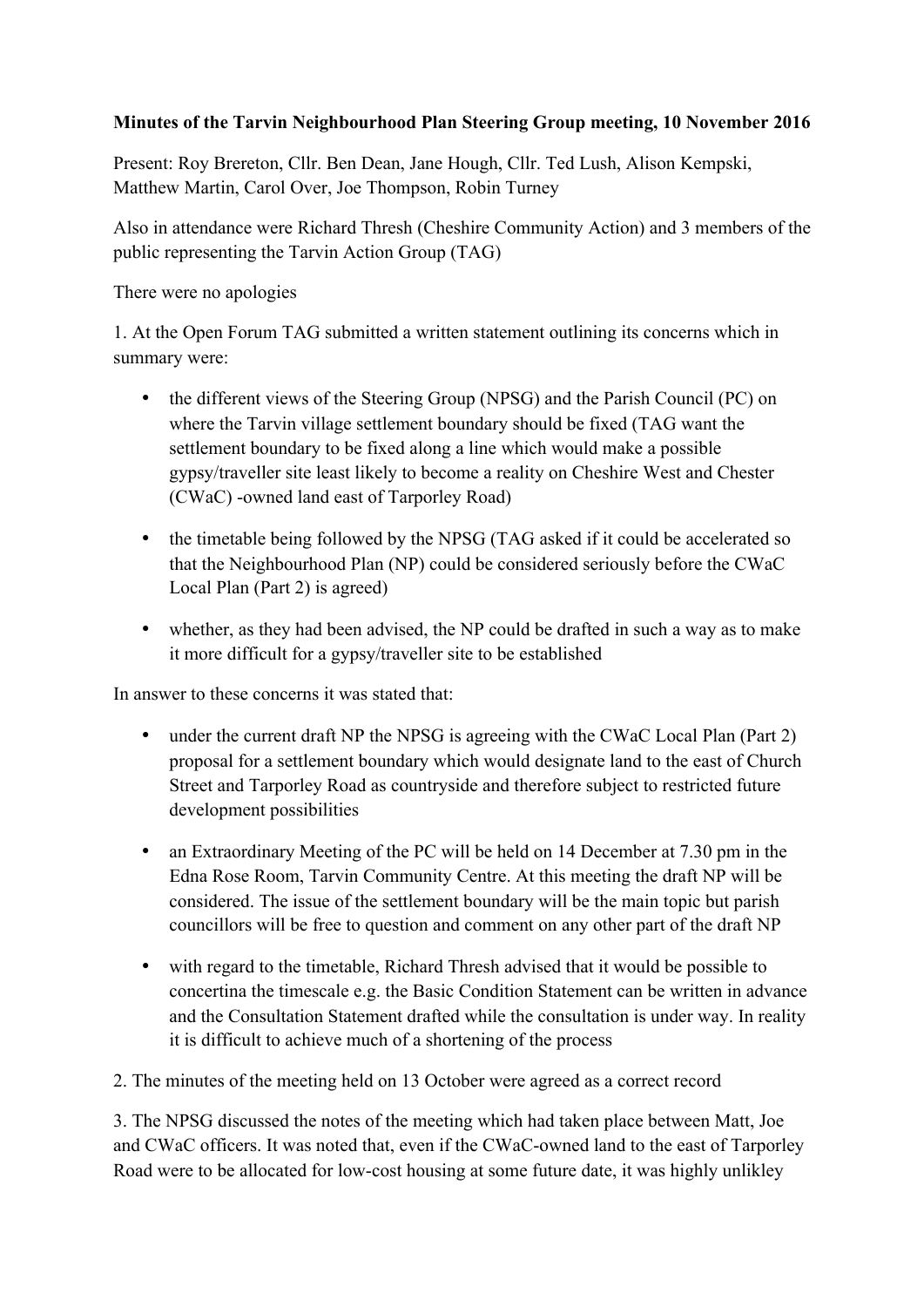## **Minutes of the Tarvin Neighbourhood Plan Steering Group meeting, 10 November 2016**

Present: Roy Brereton, Cllr. Ben Dean, Jane Hough, Cllr. Ted Lush, Alison Kempski, Matthew Martin, Carol Over, Joe Thompson, Robin Turney

Also in attendance were Richard Thresh (Cheshire Community Action) and 3 members of the public representing the Tarvin Action Group (TAG)

There were no apologies

1. At the Open Forum TAG submitted a written statement outlining its concerns which in summary were:

- the different views of the Steering Group (NPSG) and the Parish Council (PC) on where the Tarvin village settlement boundary should be fixed (TAG want the settlement boundary to be fixed along a line which would make a possible gypsy/traveller site least likely to become a reality on Cheshire West and Chester (CWaC) -owned land east of Tarporley Road)
- the timetable being followed by the NPSG (TAG asked if it could be accelerated so that the Neighbourhood Plan (NP) could be considered seriously before the CWaC Local Plan (Part 2) is agreed)
- whether, as they had been advised, the NP could be drafted in such a way as to make it more difficult for a gypsy/traveller site to be established

In answer to these concerns it was stated that:

- under the current draft NP the NPSG is agreeing with the CWaC Local Plan (Part 2) proposal for a settlement boundary which would designate land to the east of Church Street and Tarporley Road as countryside and therefore subject to restricted future development possibilities
- an Extraordinary Meeting of the PC will be held on 14 December at 7.30 pm in the Edna Rose Room, Tarvin Community Centre. At this meeting the draft NP will be considered. The issue of the settlement boundary will be the main topic but parish councillors will be free to question and comment on any other part of the draft NP
- with regard to the timetable, Richard Thresh advised that it would be possible to concertina the timescale e.g. the Basic Condition Statement can be written in advance and the Consultation Statement drafted while the consultation is under way. In reality it is difficult to achieve much of a shortening of the process

2. The minutes of the meeting held on 13 October were agreed as a correct record

3. The NPSG discussed the notes of the meeting which had taken place between Matt, Joe and CWaC officers. It was noted that, even if the CWaC-owned land to the east of Tarporley Road were to be allocated for low-cost housing at some future date, it was highly unlikley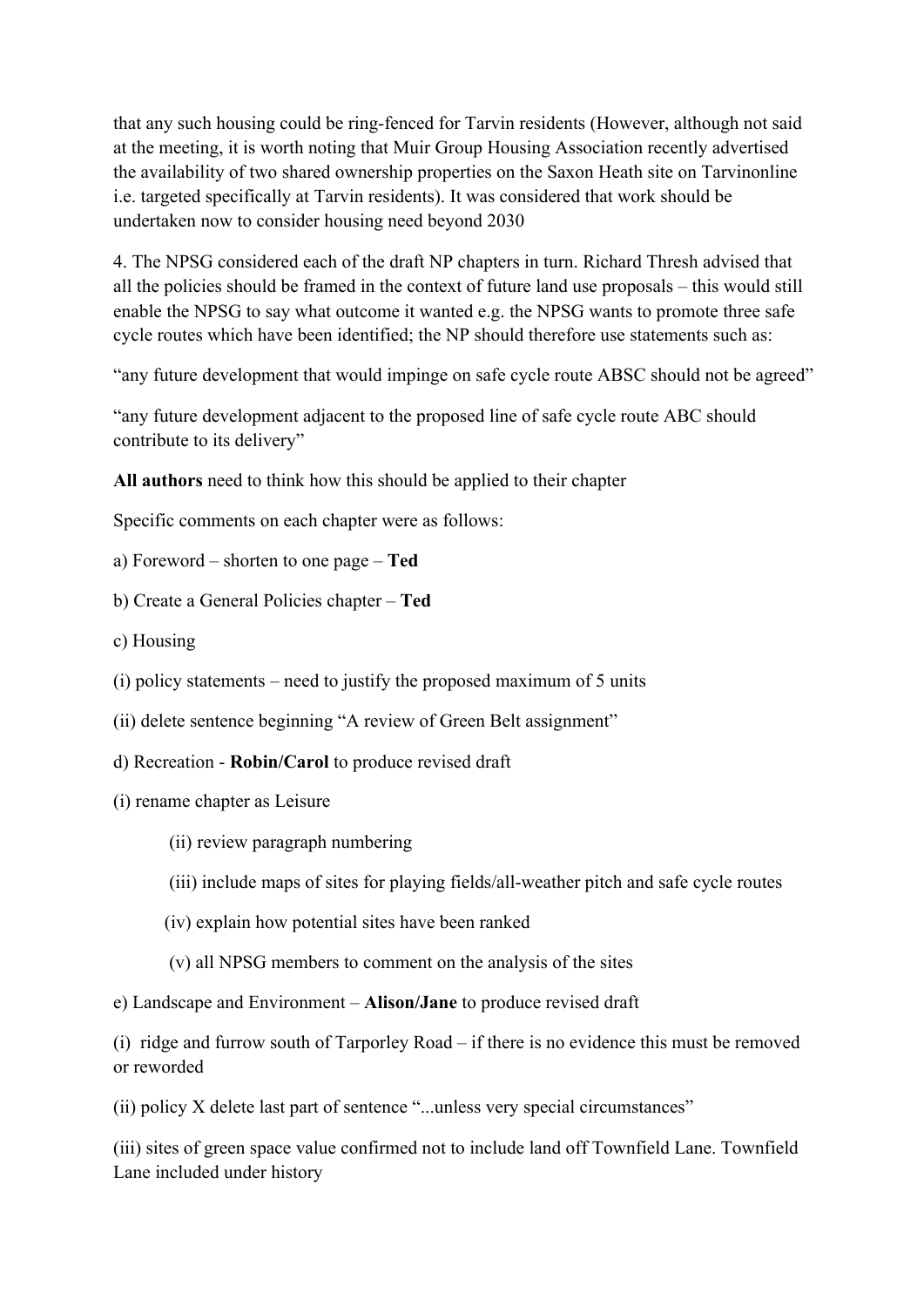that any such housing could be ring-fenced for Tarvin residents (However, although not said at the meeting, it is worth noting that Muir Group Housing Association recently advertised the availability of two shared ownership properties on the Saxon Heath site on Tarvinonline i.e. targeted specifically at Tarvin residents). It was considered that work should be undertaken now to consider housing need beyond 2030

4. The NPSG considered each of the draft NP chapters in turn. Richard Thresh advised that all the policies should be framed in the context of future land use proposals – this would still enable the NPSG to say what outcome it wanted e.g. the NPSG wants to promote three safe cycle routes which have been identified; the NP should therefore use statements such as:

"any future development that would impinge on safe cycle route ABSC should not be agreed"

"any future development adjacent to the proposed line of safe cycle route ABC should contribute to its delivery"

**All authors** need to think how this should be applied to their chapter

Specific comments on each chapter were as follows:

- a) Foreword shorten to one page **Ted**
- b) Create a General Policies chapter **Ted**
- c) Housing
- (i) policy statements need to justify the proposed maximum of 5 units
- (ii) delete sentence beginning "A review of Green Belt assignment"
- d) Recreation **Robin/Carol** to produce revised draft
- (i) rename chapter as Leisure
	- (ii) review paragraph numbering
	- (iii) include maps of sites for playing fields/all-weather pitch and safe cycle routes
	- (iv) explain how potential sites have been ranked
	- (v) all NPSG members to comment on the analysis of the sites

e) Landscape and Environment – **Alison/Jane** to produce revised draft

(i) ridge and furrow south of Tarporley Road – if there is no evidence this must be removed or reworded

(ii) policy X delete last part of sentence "...unless very special circumstances"

(iii) sites of green space value confirmed not to include land off Townfield Lane. Townfield Lane included under history